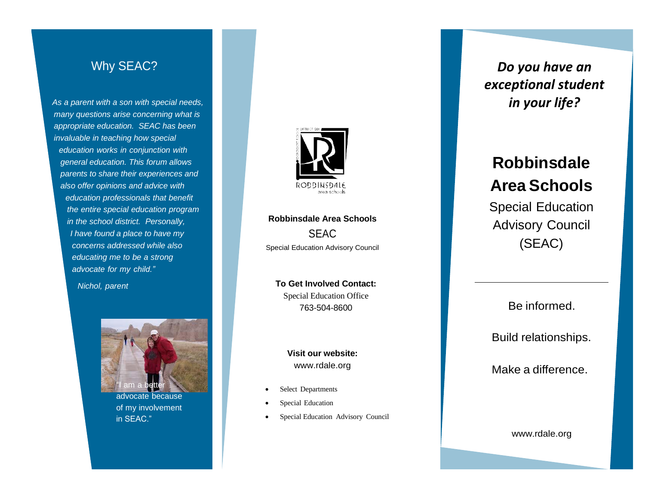## Why SEAC?

*As a parent with a son with special nee ds, many que stions arise concern ing what is appropriate educatio n . SEA C ha s been invaluable in teachin g ho w special*  $e$ *ducation* works in conjunction with *ge n eral educatio n. This forum allows parents* to share their experiences and *als o offe r opinion s an d advic e with*  $e$ *ducation professionals that benefit the entire special e ducation program in th e schoo l district. Personally, I have foun d a plac e to have my concern s addresse d while also educating me to be a strong advocate fo r my child."*

*Nichol, parent* 



advocate because o f m <sup>y</sup> involvement in SEAC."



**Robbinsdale Area Sch ools** SEAC Special Educatio n Advisor y Council

**T o Ge t Involve d Contact:** Special Education Office 763 -504 -8600

> **Visit our website:** [www.rdale.org](http://www.rdale.org/)

- Select Departments
- Special Education
- Special Education Advisory Council

*Do you have an exceptional student in your life?*

# **Robbinsdale Area Schools**

Special Education Advisory Council (SEAC)

Be informed.

Buil d r elationship s .

Make a difference.

www .[rdale.org](http://www.rdale.org/)